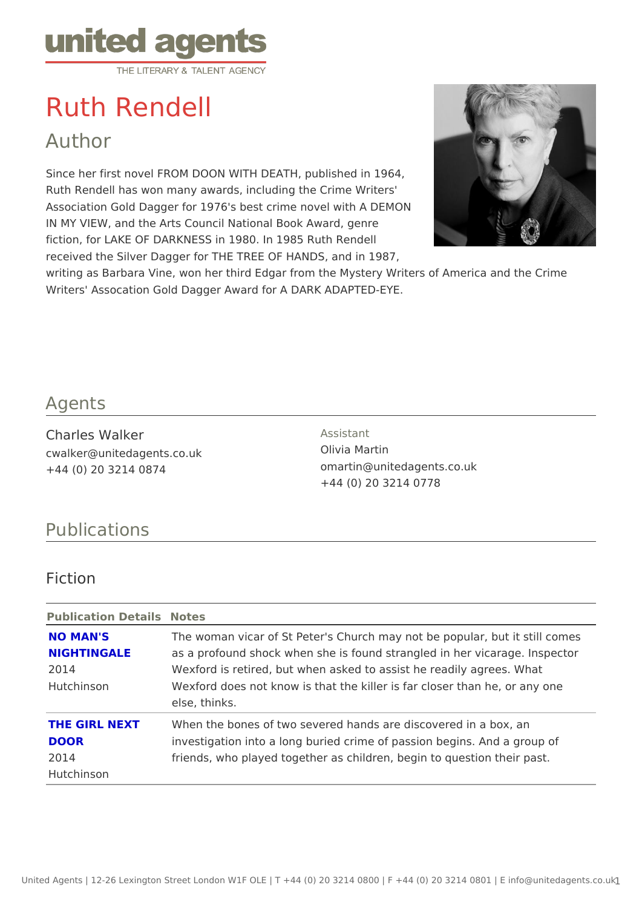# Ruth Rendell

Author

Since her first novel FROM DOON WITH DEATH, published in 1964, Ruth Rendell has won many awards, including the Crime Writers' Association Gold Dagger for 1976's best crime novel with A DEMON IN MY VIEW, and the Arts Council National Book Award, genre fiction, for LAKE OF DARKNESS in 1980. In 1985 Ruth Rendell received the Silver Dagger for THE TREE OF HANDS, and in 1987, writing as Barbara Vine, won her third Edgar from the Mystery Writers of Ame Writers' Assocation Gold Dagger Award for A DARK ADAPTED-EYE.

### Agents

Charles Walker cwalker@unitedagents.co.uk +44 (0) 20 3214 0874

Assistant Olivia Martin omartin@unitedagents.co.uk +44 (0) 20 3214 0778

# Publications

Fiction

| Publication DetaNlostes |                                                                          |  |
|-------------------------|--------------------------------------------------------------------------|--|
| NO MAN'S                | The woman vicar of St Peter's Church may not be popular, bu              |  |
| NIGHTINGALE             | as a profound shock when she is found strangled in her vicar             |  |
| 2014                    | Wexford is retired, but when asked to assist he readily agree            |  |
| Hutchinson              | Wexford does not know is that the killer is far closer than he           |  |
|                         | else, thinks.                                                            |  |
|                         | THE GIRL NEXT When the bones of two severed hands are discovered in a bo |  |
| <b>DOOR</b>             | investigation into a long buried crime of passion begins. And            |  |
| 2014                    | friends, who played together as children, begin to question t            |  |
| Hutchinson              |                                                                          |  |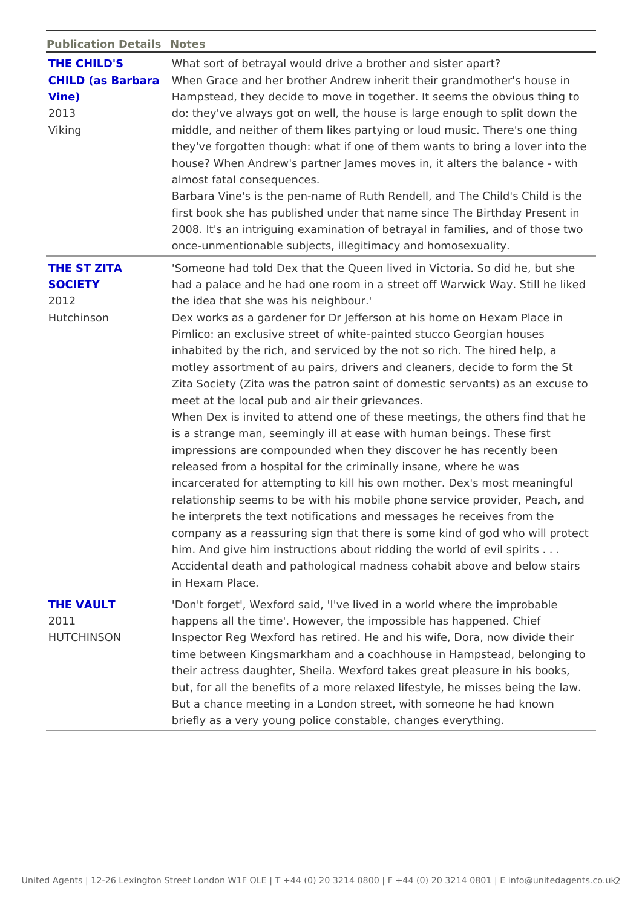|  | Publication DetaNostes |
|--|------------------------|
|--|------------------------|

| THE CHILD'S<br>Vine)<br>2013<br>Viking              | What sort of betrayal would drive a brother and sister apart?<br>CHILD (as BarbaWahen Grace and her brother Andrew inherit their grandmothe<br>Hampstead, they decide to move in together. It seems the ob<br>do: they've always got on well, the house is large enough to<br>middle, and neither of them likes partying or loud music. The<br>they've forgotten though: what if one of them wants to bring<br>house? When Andrew's partner James moves in, it alters the<br>almost fatal consequences.<br>Barbara Vine's is the pen-name of Ruth Rendell, and The Chi<br>first book she has published under that name since The Birth<br>2008. It's an intriguing examination of betrayal in families, a<br>once-unmentionable subjects, illegitimacy and homosexuality                                                                                                                                                                                                                                                                                                                                                                                                                                                                  |
|-----------------------------------------------------|-------------------------------------------------------------------------------------------------------------------------------------------------------------------------------------------------------------------------------------------------------------------------------------------------------------------------------------------------------------------------------------------------------------------------------------------------------------------------------------------------------------------------------------------------------------------------------------------------------------------------------------------------------------------------------------------------------------------------------------------------------------------------------------------------------------------------------------------------------------------------------------------------------------------------------------------------------------------------------------------------------------------------------------------------------------------------------------------------------------------------------------------------------------------------------------------------------------------------------------------|
| THE ST ZITA<br><b>SOCIETY</b><br>2012<br>Hutchinson | 'Someone had told Dex that the Queen lived in Victoria. So d<br>had a palace and he had one room in a street off Warwick Wa<br>the idea that she was his neighbour.'<br>Dex works as a gardener for Dr Jefferson at his home on Hex<br>Pimlico: an exclusive street of white-painted stucco Georgiar<br>inhabited by the rich, and serviced by the not so rich. The hi<br>motley assortment of au pairs, drivers and cleaners, decide<br>Zita Society (Zita was the patron saint of domestic servants)<br>meet at the local pub and air their grievances.<br>When Dex is invited to attend one of these meetings, the oth<br>is a strange man, seemingly ill at ease with human beings. T<br>impressions are compounded when they discover he has rece<br>released from a hospital for the criminally insane, where he<br>incarcerated for attempting to kill his own mother. Dex's mos<br>relationship seems to be with his mobile phone service provi<br>he interprets the text notifications and messages he receives<br>company as a reassuring sign that there is some kind of god<br>him. And give him instructions about ridding the world of evi<br>Accidental death and pathological madness cohabit above an<br>in Hexam Place. |
| THE VAULT<br>2011<br>HUTCHINSON                     | 'Don't forget', Wexford said, 'I've lived in a world where the<br>happens all the time'. However, the impossible has happened<br>Inspector Reg Wexford has retired. He and his wife, Dora, no<br>time between Kingsmarkham and a coachhouse in Hampstead,<br>their actress daughter, Sheila. Wexford takes great pleasure<br>but, for all the benefits of a more relaxed lifestyle, he misse<br>But a chance meeting in a London street, with someone he ha<br>briefly as a very young police constable, changes everything                                                                                                                                                                                                                                                                                                                                                                                                                                                                                                                                                                                                                                                                                                               |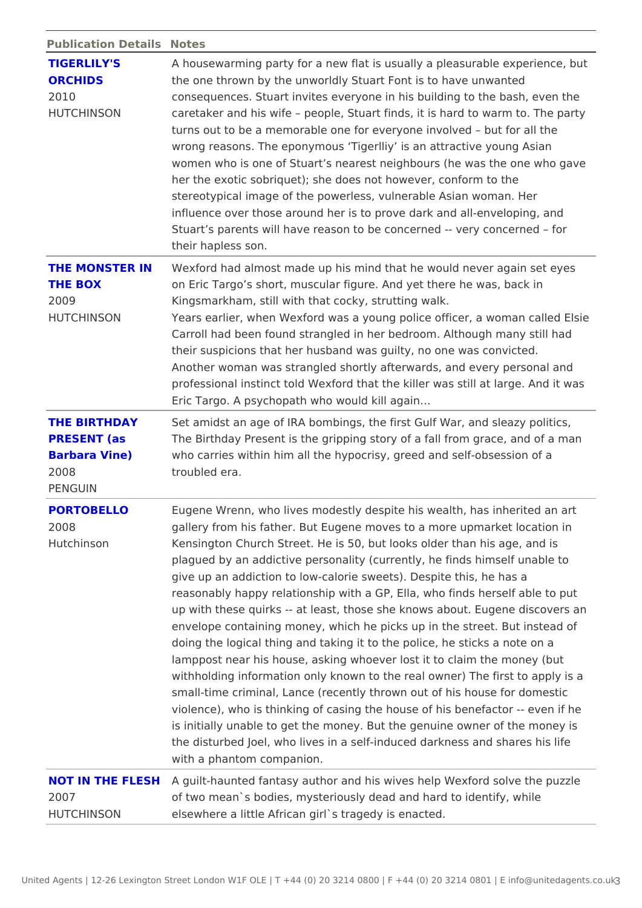#### Publication DetaNilostes

| TIGERLILY'S<br>ORCHIDS<br>2010<br>HUTCHINSON    | A housewarming party for a new flat is usually a pleasurable<br>the one thrown by the unworldly Stuart Font is to have unwar<br>consequences. Stuart invites everyone in his building to the<br>caretaker and his wife people, Stuart finds, it is hard to wa<br>turns out to be a memorable one for everyone involved<br>but<br>wrong reasons. The eponymous Tigerlliy is an attractive yo<br>women who is one of Stuart s nearest neighbours (he was the<br>her the exotic sobriquet); she does not however, conform to<br>stereotypical image of the powerless, vulnerable Asian woma<br>influence over those around her is to prove dark and all-enve<br>Stuart s parents will have reason to be concerned -- very cor<br>their hapless son.                                                                                                                                                                                                                                                                               |
|-------------------------------------------------|--------------------------------------------------------------------------------------------------------------------------------------------------------------------------------------------------------------------------------------------------------------------------------------------------------------------------------------------------------------------------------------------------------------------------------------------------------------------------------------------------------------------------------------------------------------------------------------------------------------------------------------------------------------------------------------------------------------------------------------------------------------------------------------------------------------------------------------------------------------------------------------------------------------------------------------------------------------------------------------------------------------------------------|
| THE BOX<br>2009<br>HUTCHINSON                   | THE MONSTER INvexford had almost made up his mind that he would never ag<br>on Eric Targo s short, muscular figure. And yet there he was<br>Kingsmarkham, still with that cocky, strutting walk.<br>Years earlier, when Wexford was a young police offEtseire a wo<br>Carroll had been found strangled in her bedroom. Although m<br>their suspicions that her husband was guilty, no one was con<br>Another woman was strangled shortly afterwards, and every p<br>professional instinct told Wexford that the killer was still at<br>Eric Targo. A psychopath who would kill again&                                                                                                                                                                                                                                                                                                                                                                                                                                          |
| PRESENT (as<br>Barbara Vine)<br>2008<br>PENGUIN | THE BIRTHDAY Set amidst an age of IRA bombings, the first Gulf War, and s<br>The Birthday Present is the gripping story of a fall from grac<br>who carries within him all the hypocrisy, greed and self-obse<br>troubled era.                                                                                                                                                                                                                                                                                                                                                                                                                                                                                                                                                                                                                                                                                                                                                                                                  |
| PORTOBELLO<br>2008<br>Hutchinson                | Eugene Wrenn, who lives modestly despite his wealth, has in<br>gallery from his father. But Eugene moves to a more upmarke<br>Kensington Church Street. He is 50, but looks older than his<br>plagued by an addictive personality (currently, he finds hims<br>give up an addiction to low-calorie sweets). Despite this, he<br>reasonably happy relationship with a GP, Ella, who finds her<br>up with these quirks -- at least, those she knows about. Euge<br>envelope containing money, which he picks up in the street.<br>doing the logical thing and taking it to the police, he sticks<br>lamppost near his house, asking whoever lost it to claim the<br>withholding information only known to the real owner) The fir<br>small-time criminal, Lance (recently thrown out of his house<br>violence), who is thinking of casing the house of his benefac<br>is initially unable to get the money. But the genuine owner o<br>the disturbed Joel, who lives in a self-induced darkness and<br>with a phantom companion. |
| 2007<br>HUTCHINSON                              | NOT IN THE FLES Houilt-haunted fantasy author and his wives help Wexford so<br>of two mean's bodies, mysteriously dead and hard to identify<br>elsewhere a little African girl's tragedy is enacted.                                                                                                                                                                                                                                                                                                                                                                                                                                                                                                                                                                                                                                                                                                                                                                                                                           |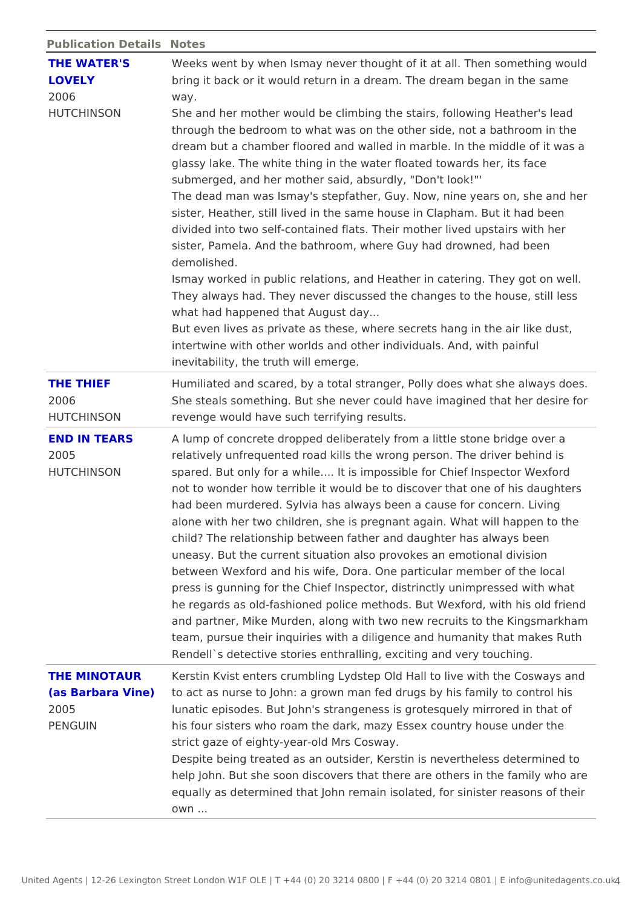| Publication DetaNostes |  |
|------------------------|--|
|------------------------|--|

| THE WATER'S<br>LOVELY<br>2006<br>HUTCHINSON | Weeks went by when Ismay never thought of it at all. Then so<br>bring it back or it would return in a dream. The dream began<br>way.<br>She and her mother would be climbing the stairs, following H<br>through the bedroom to what was on the other side, not a bat<br>dream but a chamber floored and walled in marble. In the mid<br>glassy lake. The white thing in the water floated towards her<br>submerged, and her mother said, absurdly, "Don't look!"'<br>The dead man was Ismay's stepfather, Guy. Now, nimeryears<br>sister, Heather, still lived in the same house in Clapham. Bu<br>divided into two self-contained flats. Their mother lived upst<br>sister, Pamela. And the bathroom, where Guy had drowned, h<br>demolished.<br>Ismay worked in public relations, and Heather in catering. Th<br>They always had. They never discussed the changes to the h<br>what had happened that August day<br>But even lives as private as these, where secrets hang in the<br>intertwine with other worlds and other individuals. And, with |
|---------------------------------------------|------------------------------------------------------------------------------------------------------------------------------------------------------------------------------------------------------------------------------------------------------------------------------------------------------------------------------------------------------------------------------------------------------------------------------------------------------------------------------------------------------------------------------------------------------------------------------------------------------------------------------------------------------------------------------------------------------------------------------------------------------------------------------------------------------------------------------------------------------------------------------------------------------------------------------------------------------------------------------------------------------------------------------------------------------|
|                                             | inevitability, the truth will emerge.                                                                                                                                                                                                                                                                                                                                                                                                                                                                                                                                                                                                                                                                                                                                                                                                                                                                                                                                                                                                                |
| THE THIEF<br>2006<br>HUTCHINSON             | Humiliated and scared, by a total stranger, Polly does what s<br>She steals something. But she never could have imagined tha<br>revenge would have such terrifying results.                                                                                                                                                                                                                                                                                                                                                                                                                                                                                                                                                                                                                                                                                                                                                                                                                                                                          |
| <b>END IN TEARS</b><br>2005<br>HUTCHINSON   | A lump of concrete dropped deliberately from a little stone b<br>relatively unfrequented road kills the wrong person. The driv<br>spared. But only for a while It is impossible for Chief Ins<br>not to wonder how terrible it would be to discover that one o<br>had been murdered. Sylvia has always been a cause for conc<br>alone with her two children, she is pregnant again. What will<br>child? The relationship between father and daughter has alwa<br>uneasy. But the current situation also provokes an emotional<br>between Wexford and his wife, Dora. One particular member<br>press is gunning for the Chief Inspector, distrinctly unimpres<br>he regards as old-fashioned police methods. But Wexford, wi<br>and partner, Mike Murden, along with two new recruits to the<br>team, pursue their inquiries with a diligence and humanity th<br>Rendell's detective stories enthralling, exciting and very tou                                                                                                                       |
|                                             | THE MINOTAUR Kerstin Kvist enters crumbling Lydstep Old Hall to live with t                                                                                                                                                                                                                                                                                                                                                                                                                                                                                                                                                                                                                                                                                                                                                                                                                                                                                                                                                                          |
| 2005<br>PENGUIN                             | (as Barbara Vinet) act as nurse to John: a grown man fed drugs by his family<br>lunatic episodes. But John's strangeness is grotesquely mirr<br>his four sisters who roam the dark, mazy Essex country hous<br>strict gaze of eighty-year-old Mrs Cosway.<br>Despite being treated as an outsider, Kerstin is nevertheless<br>help John. But she soon discovers that there are others in th<br>equally as determined that John remain isolated, for sinister<br>$0$ W $n$                                                                                                                                                                                                                                                                                                                                                                                                                                                                                                                                                                            |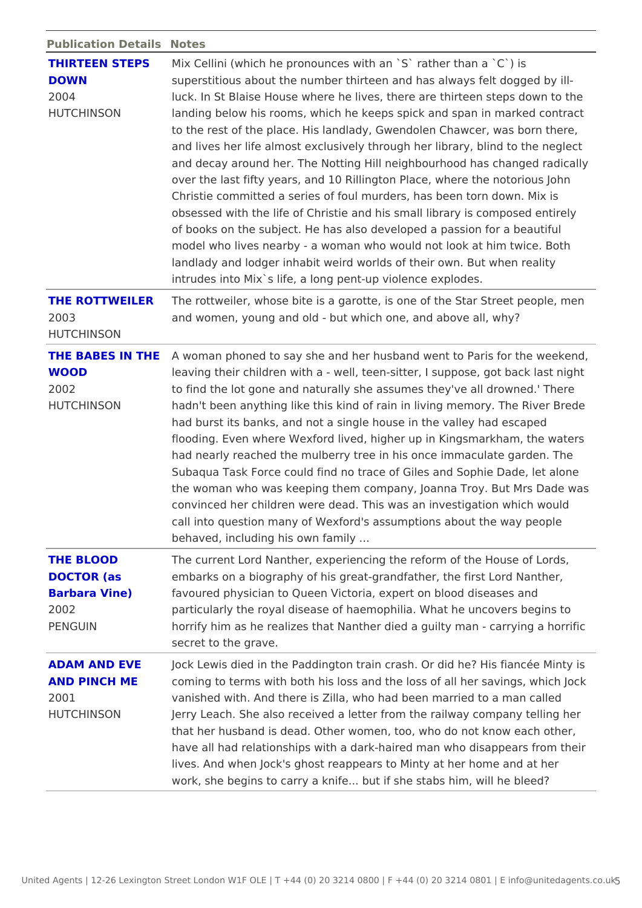Publication DetaNicstes

|             | THIRTEEN STEP⊠ix Cellini (which he pronounces with an `S` rather than a `C |
|-------------|----------------------------------------------------------------------------|
| <b>DOWN</b> | superstitious about the number thirteen and has always felt of             |
| 2004        | luck. In St Blaise House where he lives, there are thirteen st             |
| HUTCHINSON  | landing below his rooms, which he keeps spick and span in m                |
|             | to the rest of the place. His landlady, Gwendolen Chawcer, w               |
|             | and lives her life almost exclusively through her library, blin            |
|             | and decay around her. The Notting Hill neighbourhood has ch                |
|             | over the last fifty years, and 10 Rillington Place, where the              |
|             | Christie committed a series of foul murders, has been torn do              |
|             | obsessed with the life of Christie and his small library is cor            |
|             | of books on the subject. He has also developed a passion for               |
|             | model who lives nearby - a woman who would not look at him                 |
|             | landlady and lodger inhabit weird worlds of their own. But wh              |
|             | intrudes into Mix's life, a long pent-up violence explodes.                |

[THE ROTTWEIL](http://www.amazon.co.uk/Rottweiler-Ruth-Rendell/dp/0099460246/ref=sr_1_8?ie=UTF8&s=books&qid=1255515283&sr=1-8)ERhe rottweiler, whose bite is a garotte, is one of the Star Sti 2003 HUTCHINSON and women, young and old - but which one, and above all, wh

|               | THE BABES IN TAH Ewoman phoned to say she and her husband went to Paris for |
|---------------|-----------------------------------------------------------------------------|
| WOOD          | leaving their children with a - well, teen-sitter, I suppose, $g$           |
| 2002          | to find the lot gone and naturally she assumes they've all dr               |
| HUTCHINSON    | hadn't been anything like this kind of rain in living memory.               |
|               | had burst its banks, and not a single house in the valley had               |
|               | flooding. Even where Wexford lived, higher up in Kingsmarkh                 |
|               | had nearly reached the mulberry tree in his once immaculate                 |
|               | Subaqua Task Force could find no trace of Giles and Sophie                  |
|               | the woman who was keeping them company, Joanna Troy. But                    |
|               | convinced her children were dead. This was an investigation                 |
|               | call into question many of Wexford's assumptions about the v                |
|               | behaved, including his own family                                           |
| THE BLOOD     | The current Lord Nanther, experiencing the reform of the Hou                |
| DOCTOR (as    | embarks on a biography of his great-grandfather, the first Lo               |
| Barbara Vine) | favoured physician to Queen Victoria, expert on blood diseas                |

2002 PENGUIN particularly the royal disease of haemophilia. What he uncov horrify him as he realizes that Nanther died a guilty man - ca secret to the grave.

[ADAM AND EVE](http://www.amazon.co.uk/Adam-Eve-Pinch-Ruth-Rendell/dp/0099426196/ref=sr_1_1?ie=UTF8&s=books&qid=1255519640&sr=1-1) Jock Lewis died in the Paddington train crash. Or did he? His AND PINCH ME coming to terms with both his loss and the loss of all her sav 2001 HUTCHINSON vanished with. And there is Zilla, who had been married to a Jerry Leach. She also received a letter from the railway com that her husband is dead. Other women, too, who do not know have all had relationships with a dark-haired man who disapp lives. And when Jock's ghost reappears to Minty at her home work, she begins to carry a knife... but if she stabs him, will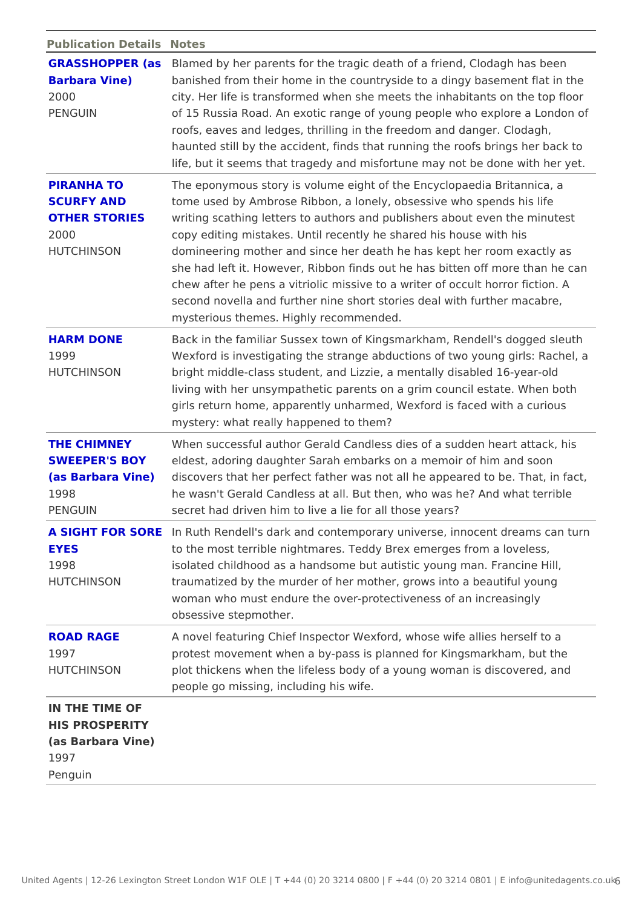| Publication DetaNostes |  |
|------------------------|--|
|------------------------|--|

| Barbara Vine)<br>2000<br>PENGUIN                                         | GRASSHOPPER Balasmed by her parents for the tragic death of a friend, Cloda<br>banished from their home in the countryside to a dingy basen<br>city. Her life is transformed when she meets the inhabitants<br>of 15 Russia Road. An exotic range of young people who exp<br>roofs, eaves and ledges, thrilling in the freedom and danger.<br>haunted still by the accident, finds that running the roofs bri<br>life, but it seems that tragedy and misfortune may not be dor                                                                                                          |
|--------------------------------------------------------------------------|-----------------------------------------------------------------------------------------------------------------------------------------------------------------------------------------------------------------------------------------------------------------------------------------------------------------------------------------------------------------------------------------------------------------------------------------------------------------------------------------------------------------------------------------------------------------------------------------|
| PIRANHA TO<br>SCURFY AND<br>2000<br>HUTCHINSON                           | The eponymous story is volume eight of the Encyclopaedia B<br>tome used by Ambrose Ribbon, a lonely, obsessive who spend<br>OTHER STORIESwriting scathing letters to authors and publishers about even<br>copy editing mistakes. Until recently he shared his house wit<br>domineering mother and since her death he has kept her roor<br>she had left it. However, Ribbon finds out he has bitten off n<br>chew after he pens a vitriolic missive to a writer of occult ho<br>second novella and further nine short stories deal with furthe<br>mysterious themes. Highly recommended. |
| <b>HARM DONE</b><br>1999<br>HUTCHINSON                                   | Back in the familiar Sussex town of Kingsmarkham, Rendell's<br>Wexford is investigating the strange abductions of two young<br>bright middle-class student, and Lizzie, a mentally disabled<br>living with her unsympathetic parents on a grim council estat<br>girls return home, apparently unharmed, Wexford is faced wit<br>mystery: what really happened to them?                                                                                                                                                                                                                  |
| 1998<br>PENGUIN                                                          | THE CHIMNEY When successful author Gerald Candless dies of a sudden he<br>SWEEPER'S BOYeldest, adoring daughter Sarah embarks on a memoir of him a<br>(as Barbara Vined) is covers that her perfect father was not all he appeared to<br>he wasn't Gerald Candless at all. But then, who was he? And<br>secret had driven him to live a lie for all those years?                                                                                                                                                                                                                        |
| EYES<br>1998<br>HUTCHINSON                                               | A SIGHT FOR SOR ER uth Rendell's dark and contemporary universe, innocent<br>to the most terrible nightmares. Teddy Brex emerges from a<br>isolated childhood as a handsome but autistic young man. Fr<br>traumatized by the murder of her mother, grows into a beauti<br>woman who must endure the over-protectiveness of an increa<br>obsessive stepmother.                                                                                                                                                                                                                           |
| <b>ROAD RAGE</b><br>1997<br>HUTCHINSON                                   | A novel featuring Chief Inspector Wexford, whose wife allies<br>protest movement when a by-pass is planned for Kingsmarkha<br>plot thickens when the lifeless body of a young woman is dis<br>people go missing, including his wife.                                                                                                                                                                                                                                                                                                                                                    |
| IN THE TIME OF<br>HIS PROSPERITY<br>(as Barbara Vine)<br>1997<br>Penguin |                                                                                                                                                                                                                                                                                                                                                                                                                                                                                                                                                                                         |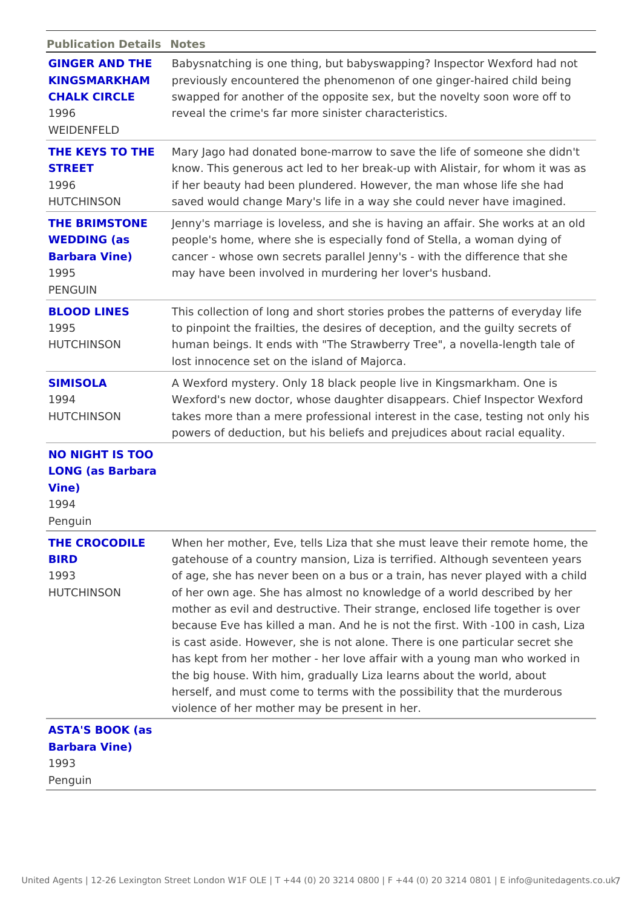Publication DetaNilostes

|                                                                    | GINGER AND THE abysnatching is one thing, but babyswapping? Inspector We<br>KINGSMARKHAMpreviously encountered the phenomenon of one ginger-haired                                                                                                                                                                                                                                                                                                                                                                                                                                                                                                                                                                                 |
|--------------------------------------------------------------------|------------------------------------------------------------------------------------------------------------------------------------------------------------------------------------------------------------------------------------------------------------------------------------------------------------------------------------------------------------------------------------------------------------------------------------------------------------------------------------------------------------------------------------------------------------------------------------------------------------------------------------------------------------------------------------------------------------------------------------|
| 1996<br>WEIDENFELD                                                 | CHALK CIRCLE swapped for another of the opposite sex, but the novelty soo<br>reveal the crime's far more sinister characteristics.                                                                                                                                                                                                                                                                                                                                                                                                                                                                                                                                                                                                 |
| <b>STREET</b><br>1996<br>HUTCHINSON                                | THE KEYS TO THMEary Jago had donated bone-marrow to save the life of some<br>know. This generous act led to her break-up with Alistair, for<br>if her beauty had been plundered. However, the man whose li<br>saved would change Mary's life in a way she could never hav                                                                                                                                                                                                                                                                                                                                                                                                                                                          |
| WEDDING (as<br>Barbara Vine)<br>1995<br>PENGUIN                    | THE BRIMSTONEJenny's marriage is loveless, and she is having an affair. Sh<br>people's home, where she is especially fond of Stella, a wom<br>cancer - whose own secrets parallel Jenny's - with the differ<br>may have been involved in murdering her lover's husband.                                                                                                                                                                                                                                                                                                                                                                                                                                                            |
| <b>BLOOD LINES</b><br>1995<br>HUTCHINSON                           | This collection of long and short stories probes the patterns<br>to pinpoint the frailties, the desires of deception, and the gu<br>human beings. It ends with "The Strawberry Tree", a novella-<br>lost innocence set on the island of Majorca.                                                                                                                                                                                                                                                                                                                                                                                                                                                                                   |
| <b>SIMISOLA</b><br>1994<br>HUTCHINSON                              | A Wexford mystery. Only 18 black people live in Kingsmarkha<br>Wexford's new doctor, whose daughter disappears. Chief Insp<br>takes more than a mere professional interest in the case, tes<br>powers of deduction, but his beliefs and prejudices about rad                                                                                                                                                                                                                                                                                                                                                                                                                                                                       |
| NO NIGHT IS TOO<br>LONG (as Barbara<br>$V$ ine)<br>1994<br>Penguin |                                                                                                                                                                                                                                                                                                                                                                                                                                                                                                                                                                                                                                                                                                                                    |
| <b>BIRD</b><br>1993<br>HUTCHINSON                                  | THE CROCODILEWhen her mother, Eve, tells Liza that she must leavth their re<br>gatehouse of a country mansion, Liza is terrified. Although s<br>of age, she has never been on a bus or a train, has never pla<br>of her own age. She has almost no knowledge of a world dese<br>mother as evil and destructive. Their strange, enclosed life t<br>because Eve has killed a man. And he is not the first. With -<br>is cast aside. However, she is not alone. There is one partic<br>has kept from her mother - her love affair with a young man<br>the big house. With him, gradually Liza learns about the worl<br>herself, and must come to terms with the possibility that the<br>violence of her mother may be present in her. |
| ASTA'S BOOK (as<br>Barbara Vine)<br>1993                           |                                                                                                                                                                                                                                                                                                                                                                                                                                                                                                                                                                                                                                                                                                                                    |

Penguin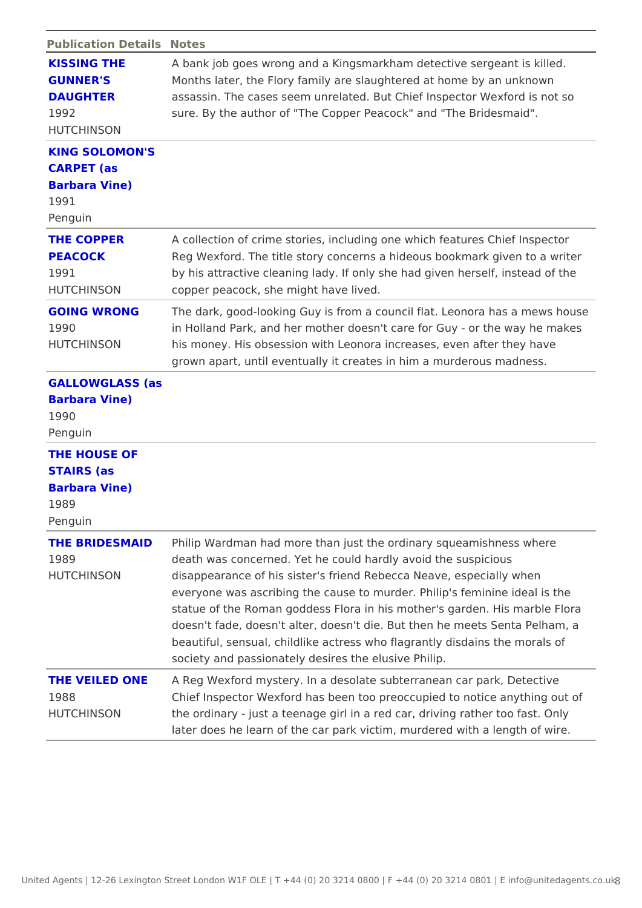| Publication DetaNdstes                                           |                                                                                                                                                                                                                                                                                                                                                                                                                                                                                                                                  |
|------------------------------------------------------------------|----------------------------------------------------------------------------------------------------------------------------------------------------------------------------------------------------------------------------------------------------------------------------------------------------------------------------------------------------------------------------------------------------------------------------------------------------------------------------------------------------------------------------------|
| KISSING THE<br>GUNNER'S<br><b>DAUGHTER</b><br>1992<br>HUTCHINSON | A bank job goes wrong and a Kingsmarkham detective sergea<br>Months later, the Flory family are slaughtered at home by an<br>assassin. The cases seem unrelated. But Chief Inspector We!<br>sure. By the author of "The Copper Peacock" and "The Brides                                                                                                                                                                                                                                                                          |
| KING SOLOMON'S<br>CARPET (as<br>Barbara Vine)<br>1991<br>Penguin |                                                                                                                                                                                                                                                                                                                                                                                                                                                                                                                                  |
| THE COPPER<br><b>PEACOCK</b><br>1991<br>HUTCHINSON               | A collection of crime stories, including one which features C<br>Reg Wexford. The title story concerns a hideous bookmark gi<br>by his attractive cleaning lady. If only she had given herself<br>copper peacock, she might have lived.                                                                                                                                                                                                                                                                                          |
| GOING WRONG<br>1990<br>HUTCHINSON                                | The dark, good-looking Guy is from a council flat. Leonora ha<br>in Holland Park, and her mother doesn't care for Guy - or the<br>his money. His obsession with Leonora increases, even after<br>grown apart, until eventually it creates in him a murderous m                                                                                                                                                                                                                                                                   |
| GALLOWGLASS (as<br>Barbara Vine)<br>1990<br>Penguin              |                                                                                                                                                                                                                                                                                                                                                                                                                                                                                                                                  |
| THE HOUSE OF<br>STAIRS (as<br>Barbara Vine)<br>1989<br>Penguin   |                                                                                                                                                                                                                                                                                                                                                                                                                                                                                                                                  |
| 1989<br>HUTCHINSON                                               | THE BRIDESMAID hilip Wardman had more than just the ordinary squeamishne<br>death was concerned. Yet he could hardly avoid the suspicio<br>disappearance of his sister's friend Rebecca Neave, especial<br>everyone was ascribing the cause to murder. Philip's feminin<br>statue of the Roman goddess Flora in his mother's garden. H<br>doesn't fade, doesn't alter, doesn't die. But then he meets S<br>beautiful, sensual, childlike actress who flagrantly disdains<br>society and passionately desires the elusive Philip. |
| 1988<br>HUTCHINSON                                               | THE VEILED ONE Reg Wexford mystery. In a desolate subterranean car park,<br>Chief Inspector Wexford has been too preoccupied to notice<br>the ordinary - just a teenage girl in a red car, driving rather<br>later does he learn of the car park victim, murdered with a le                                                                                                                                                                                                                                                      |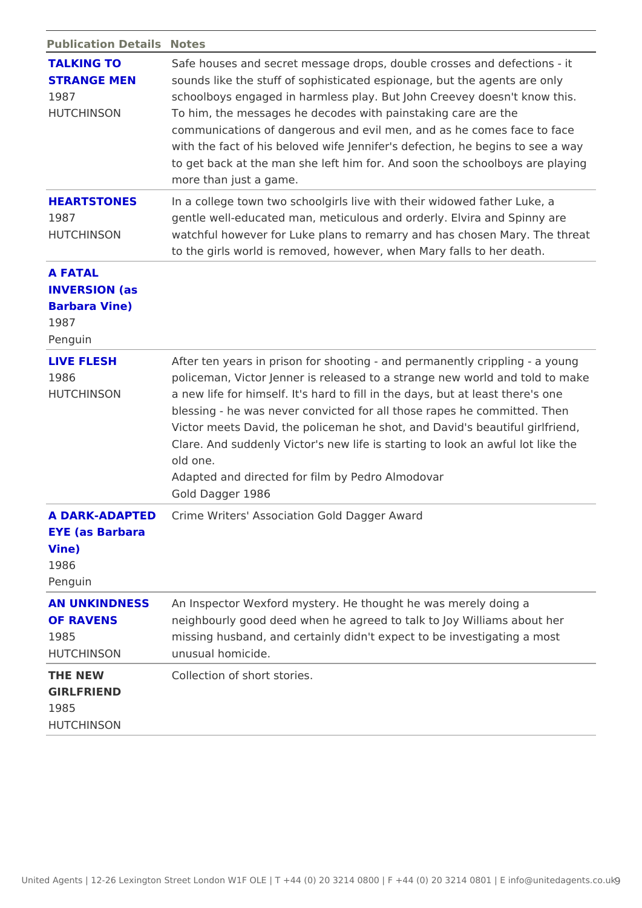| Publication DetaNdstes                                              |                                                                                                                                                                                                                                                                                                                                                                                                                                                                                        |
|---------------------------------------------------------------------|----------------------------------------------------------------------------------------------------------------------------------------------------------------------------------------------------------------------------------------------------------------------------------------------------------------------------------------------------------------------------------------------------------------------------------------------------------------------------------------|
| <b>TALKING TO</b><br><b>STRANGE MEN</b><br>1987<br>HUTCHINSON       | Safe houses and secret message drops, double crosses and d<br>sounds like the stuff of sophisticated espionage, but the age<br>schoolboys engaged in harmless play. But John Creevey does<br>To him, the messages he decodes with painstaking care are t<br>communications of dangerous and evil men, and as he comes<br>with the fact of his beloved wife Jennifer's defection, he beg<br>to get back at the man she left him for. And soon the schoolt<br>more than just a game.     |
| 1987<br>HUTCHINSON                                                  | HEARTSTONES In a college town two schoolgirls live with their widowed fath<br>gentle well-educated man, meticulous and orderly. Elvira and<br>watchful however for Luke plans to remarry and has chosen N<br>to the girls world is removed, however, when Mary falls to he                                                                                                                                                                                                             |
| A FATAL<br><b>INVERSION</b> (as<br>Barbara Vine)<br>1987<br>Penguin |                                                                                                                                                                                                                                                                                                                                                                                                                                                                                        |
| LIVE FLESH<br>1986<br>HUTCHINSON                                    | After ten years in prison for shooting - and permanently crip<br>policeman, Victor Jenner is released to a strange new world<br>a new life for himself. It's hard to fill in the days, but at lea<br>blessing - he was never convicted for all those rapes he com<br>Victor meets David, the policeman he shot, and David's beau<br>Clare. And suddenly Victor's new life is starting to look an a<br>old one.<br>Adapted and directed for film by Pedro Almodovar<br>Gold Dagger 1986 |
| EYE (as Barbara<br>Vine)<br>1986<br>Penguin                         | A DARK-ADAPTE©rime Writers' Association Gold Dagger Award                                                                                                                                                                                                                                                                                                                                                                                                                              |
| OF RAVENS<br>1985<br>HUTCHINSON                                     | AN UNKINDNESSAn Inspector Wexford mystery. He thought he was merely doi<br>neighbourly good deed when he agreed to talk to Joy William<br>missing husband, and certainly didn't expect to be investigat<br>unusual homicide.                                                                                                                                                                                                                                                           |
| THE NEW<br>GIRLFRIEND<br>1985                                       | Collection of short stories.                                                                                                                                                                                                                                                                                                                                                                                                                                                           |

HUTCHINSON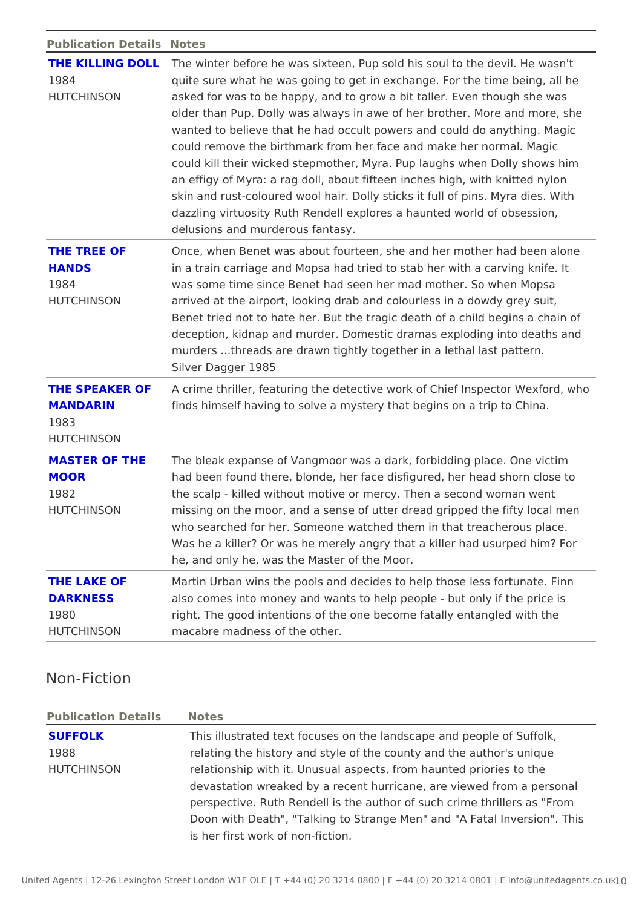Publication DetaNilostes

| 1984<br>HUTCHINSON                                   | THE KILLING DOLLLe winter before he was sixteen, Pup sold his soul to the de<br>quite sure what he was going to get in exchange. For the tim<br>asked for was to be happy, and to grow a bit taller. Even tho<br>older than Pup, Dolly was always in awe of her brother. More<br>wanted to believe that he had occult powers and could do an<br>could remove the birthmark from her face and make her norm<br>could kill their wicked stepmother, Myra. Pup laughs when Do<br>an effigy of Myra: a rag doll, about fifteen inches high, with<br>skin and rust-coloured wool hair. Dolly sticks it full of pins.<br>dazzling virtuosity Ruth Rendell explores a haunted world of<br>delusions and murderous fantasy. |
|------------------------------------------------------|---------------------------------------------------------------------------------------------------------------------------------------------------------------------------------------------------------------------------------------------------------------------------------------------------------------------------------------------------------------------------------------------------------------------------------------------------------------------------------------------------------------------------------------------------------------------------------------------------------------------------------------------------------------------------------------------------------------------|
| THE TREE OF<br>HANDS<br>1984<br>HUTCHINSON           | Once, when Benet was about fourteen, she and her mother ha<br>in a train carriage and Mopsa had tried to stab her with a ca<br>was some time since Benet had seen her mad mother. So whe<br>arrived at the airport, looking drab and colourless in a dowdy<br>Benet tried not to hate her. But the tragic death of a child be<br>deception, kidnap and murder. Domestic dramas exploding in<br>murders threads are drawn tightly together in a lethal last<br>Silver Dagger 1985                                                                                                                                                                                                                                    |
| MANDARIN<br>1983<br>HUTCHINSON                       | THE SPEAKER OF crime thriller, featuring the detective work of Chief Inspec<br>finds himself having to solve a mystery that begins on a trip                                                                                                                                                                                                                                                                                                                                                                                                                                                                                                                                                                        |
| MOOR<br>1982<br>HUTCHINSON                           | MASTER OF THEThe bleak expanse of Vangmoor was a dark, forbidding place<br>had been found there, blonde, her face disfigured, her head<br>the scalp - killed without motive or mercy. Then a second wo<br>missing on the moor, and a sense of utter dread gripped the<br>who searched for her. Someone watched them in that treache<br>Was he a killer? Or was he merely angry that a killer had usu<br>he, and only he, was the Master of the Moor.                                                                                                                                                                                                                                                                |
| THE LAKE OF<br><b>DARKNESS</b><br>1980<br>HUTCHINSON | Martin Urban wins the pools and decides to help those less f<br>also comes into money and wants to help people - but only if<br>right. The good intentions of the one become fatally entangle<br>macabre madness of the other.                                                                                                                                                                                                                                                                                                                                                                                                                                                                                      |

## Non-Fiction

| Publication DetailsNotes |                                                                                                                           |  |
|--------------------------|---------------------------------------------------------------------------------------------------------------------------|--|
| <b>SUFFOLK</b><br>1988   | This illustrated text focuses on the landscape and people<br>relating the history and style of the county and the author  |  |
| HUTCHINSON               | relationship with it. Unusual aspects, from haunted priorie                                                               |  |
|                          | devastation wreaked by a recent hurricane, are viewed from<br>perspective. Ruth Rendell is the author of such crime thril |  |
|                          | Doon with Death", "Talking to Strange Men" and "A Fatal In                                                                |  |
|                          | is her first work of non-fiction.                                                                                         |  |